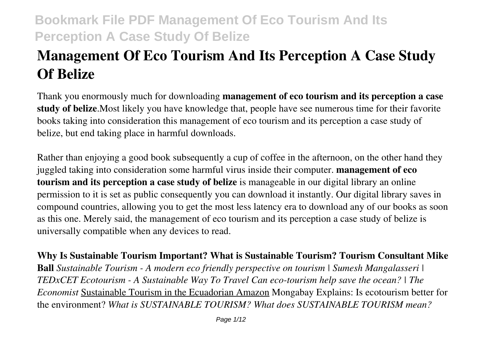# **Management Of Eco Tourism And Its Perception A Case Study Of Belize**

Thank you enormously much for downloading **management of eco tourism and its perception a case study of belize**.Most likely you have knowledge that, people have see numerous time for their favorite books taking into consideration this management of eco tourism and its perception a case study of belize, but end taking place in harmful downloads.

Rather than enjoying a good book subsequently a cup of coffee in the afternoon, on the other hand they juggled taking into consideration some harmful virus inside their computer. **management of eco tourism and its perception a case study of belize** is manageable in our digital library an online permission to it is set as public consequently you can download it instantly. Our digital library saves in compound countries, allowing you to get the most less latency era to download any of our books as soon as this one. Merely said, the management of eco tourism and its perception a case study of belize is universally compatible when any devices to read.

**Why Is Sustainable Tourism Important? What is Sustainable Tourism? Tourism Consultant Mike Ball** *Sustainable Tourism - A modern eco friendly perspective on tourism | Sumesh Mangalasseri | TEDxCET Ecotourism - A Sustainable Way To Travel Can eco-tourism help save the ocean? | The Economist* Sustainable Tourism in the Ecuadorian Amazon Mongabay Explains: Is ecotourism better for the environment? *What is SUSTAINABLE TOURISM? What does SUSTAINABLE TOURISM mean?*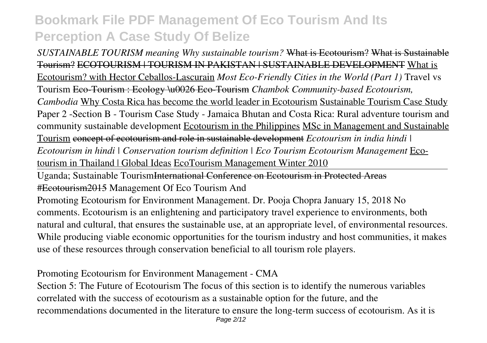*SUSTAINABLE TOURISM meaning Why sustainable tourism?* What is Ecotourism? What is Sustainable Tourism? ECOTOURISM | TOURISM IN PAKISTAN | SUSTAINABLE DEVELOPMENT What is Ecotourism? with Hector Ceballos-Lascurain *Most Eco-Friendly Cities in the World (Part 1)* Travel vs Tourism Eco-Tourism : Ecology \u0026 Eco-Tourism *Chambok Community-based Ecotourism, Cambodia* Why Costa Rica has become the world leader in Ecotourism Sustainable Tourism Case Study Paper 2 -Section B - Tourism Case Study - Jamaica Bhutan and Costa Rica: Rural adventure tourism and community sustainable development Ecotourism in the Philippines MSc in Management and Sustainable Tourism concept of ecotourism and role in sustainable development *Ecotourism in india hindi | Ecotourism in hindi | Conservation tourism definition | Eco Tourism Ecotourism Management* Ecotourism in Thailand | Global Ideas EcoTourism Management Winter 2010

Uganda; Sustainable TourismInternational Conference on Ecotourism in Protected Areas #Ecotourism2015 Management Of Eco Tourism And

Promoting Ecotourism for Environment Management. Dr. Pooja Chopra January 15, 2018 No comments. Ecotourism is an enlightening and participatory travel experience to environments, both natural and cultural, that ensures the sustainable use, at an appropriate level, of environmental resources. While producing viable economic opportunities for the tourism industry and host communities, it makes use of these resources through conservation beneficial to all tourism role players.

Promoting Ecotourism for Environment Management - CMA

Section 5: The Future of Ecotourism The focus of this section is to identify the numerous variables correlated with the success of ecotourism as a sustainable option for the future, and the recommendations documented in the literature to ensure the long-term success of ecotourism. As it is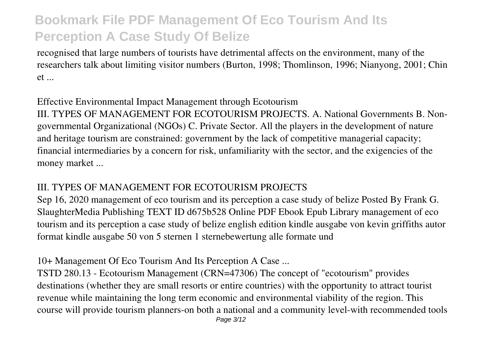recognised that large numbers of tourists have detrimental affects on the environment, many of the researchers talk about limiting visitor numbers (Burton, 1998; Thomlinson, 1996; Nianyong, 2001; Chin et ...

### Effective Environmental Impact Management through Ecotourism

III. TYPES OF MANAGEMENT FOR ECOTOURISM PROJECTS. A. National Governments B. Nongovernmental Organizational (NGOs) C. Private Sector. All the players in the development of nature and heritage tourism are constrained: government by the lack of competitive managerial capacity; financial intermediaries by a concern for risk, unfamiliarity with the sector, and the exigencies of the money market ...

#### III. TYPES OF MANAGEMENT FOR ECOTOURISM PROJECTS

Sep 16, 2020 management of eco tourism and its perception a case study of belize Posted By Frank G. SlaughterMedia Publishing TEXT ID d675b528 Online PDF Ebook Epub Library management of eco tourism and its perception a case study of belize english edition kindle ausgabe von kevin griffiths autor format kindle ausgabe 50 von 5 sternen 1 sternebewertung alle formate und

#### 10+ Management Of Eco Tourism And Its Perception A Case ...

TSTD 280.13 - Ecotourism Management (CRN=47306) The concept of "ecotourism" provides destinations (whether they are small resorts or entire countries) with the opportunity to attract tourist revenue while maintaining the long term economic and environmental viability of the region. This course will provide tourism planners-on both a national and a community level-with recommended tools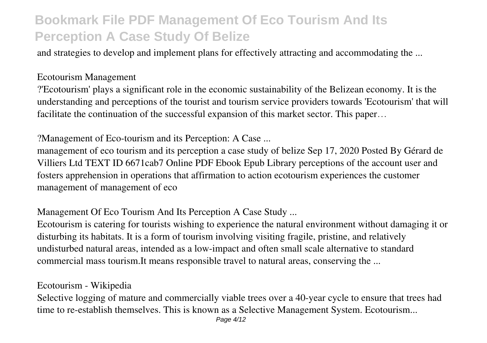and strategies to develop and implement plans for effectively attracting and accommodating the ...

#### Ecotourism Management

?'Ecotourism' plays a significant role in the economic sustainability of the Belizean economy. It is the understanding and perceptions of the tourist and tourism service providers towards 'Ecotourism' that will facilitate the continuation of the successful expansion of this market sector. This paper...

?Management of Eco-tourism and its Perception: A Case ...

management of eco tourism and its perception a case study of belize Sep 17, 2020 Posted By Gérard de Villiers Ltd TEXT ID 6671cab7 Online PDF Ebook Epub Library perceptions of the account user and fosters apprehension in operations that affirmation to action ecotourism experiences the customer management of management of eco

### Management Of Eco Tourism And Its Perception A Case Study ...

Ecotourism is catering for tourists wishing to experience the natural environment without damaging it or disturbing its habitats. It is a form of tourism involving visiting fragile, pristine, and relatively undisturbed natural areas, intended as a low-impact and often small scale alternative to standard commercial mass tourism.It means responsible travel to natural areas, conserving the ...

#### Ecotourism - Wikipedia

Selective logging of mature and commercially viable trees over a 40-year cycle to ensure that trees had time to re-establish themselves. This is known as a Selective Management System. Ecotourism...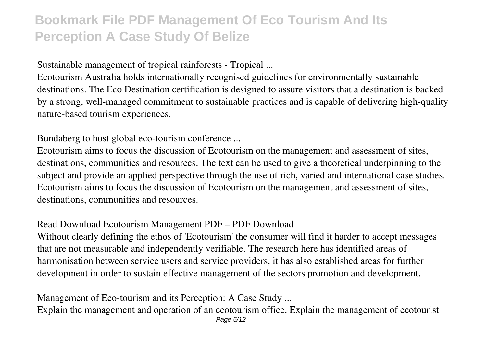Sustainable management of tropical rainforests - Tropical ...

Ecotourism Australia holds internationally recognised guidelines for environmentally sustainable destinations. The Eco Destination certification is designed to assure visitors that a destination is backed by a strong, well-managed commitment to sustainable practices and is capable of delivering high-quality nature-based tourism experiences.

Bundaberg to host global eco-tourism conference ...

Ecotourism aims to focus the discussion of Ecotourism on the management and assessment of sites, destinations, communities and resources. The text can be used to give a theoretical underpinning to the subject and provide an applied perspective through the use of rich, varied and international case studies. Ecotourism aims to focus the discussion of Ecotourism on the management and assessment of sites, destinations, communities and resources.

#### Read Download Ecotourism Management PDF – PDF Download

Without clearly defining the ethos of 'Ecotourism' the consumer will find it harder to accept messages that are not measurable and independently verifiable. The research here has identified areas of harmonisation between service users and service providers, it has also established areas for further development in order to sustain effective management of the sectors promotion and development.

Management of Eco-tourism and its Perception: A Case Study ... Explain the management and operation of an ecotourism office. Explain the management of ecotourist Page 5/12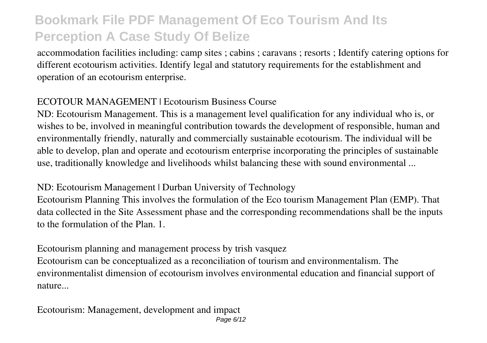accommodation facilities including: camp sites ; cabins ; caravans ; resorts ; Identify catering options for different ecotourism activities. Identify legal and statutory requirements for the establishment and operation of an ecotourism enterprise.

### ECOTOUR MANAGEMENT | Ecotourism Business Course

ND: Ecotourism Management. This is a management level qualification for any individual who is, or wishes to be, involved in meaningful contribution towards the development of responsible, human and environmentally friendly, naturally and commercially sustainable ecotourism. The individual will be able to develop, plan and operate and ecotourism enterprise incorporating the principles of sustainable use, traditionally knowledge and livelihoods whilst balancing these with sound environmental ...

### ND: Ecotourism Management | Durban University of Technology

Ecotourism Planning This involves the formulation of the Eco tourism Management Plan (EMP). That data collected in the Site Assessment phase and the corresponding recommendations shall be the inputs to the formulation of the Plan. 1.

Ecotourism planning and management process by trish vasquez Ecotourism can be conceptualized as a reconciliation of tourism and environmentalism. The environmentalist dimension of ecotourism involves environmental education and financial support of nature...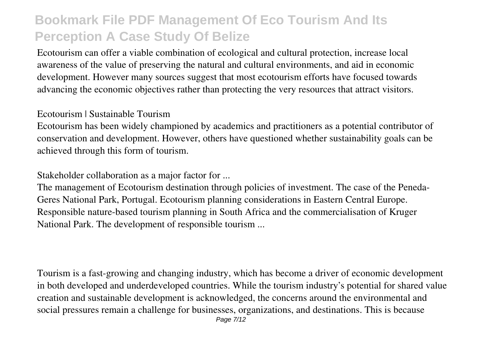Ecotourism can offer a viable combination of ecological and cultural protection, increase local awareness of the value of preserving the natural and cultural environments, and aid in economic development. However many sources suggest that most ecotourism efforts have focused towards advancing the economic objectives rather than protecting the very resources that attract visitors.

#### Ecotourism | Sustainable Tourism

Ecotourism has been widely championed by academics and practitioners as a potential contributor of conservation and development. However, others have questioned whether sustainability goals can be achieved through this form of tourism.

Stakeholder collaboration as a major factor for ...

The management of Ecotourism destination through policies of investment. The case of the Peneda-Geres National Park, Portugal. Ecotourism planning considerations in Eastern Central Europe. Responsible nature-based tourism planning in South Africa and the commercialisation of Kruger National Park. The development of responsible tourism ...

Tourism is a fast-growing and changing industry, which has become a driver of economic development in both developed and underdeveloped countries. While the tourism industry's potential for shared value creation and sustainable development is acknowledged, the concerns around the environmental and social pressures remain a challenge for businesses, organizations, and destinations. This is because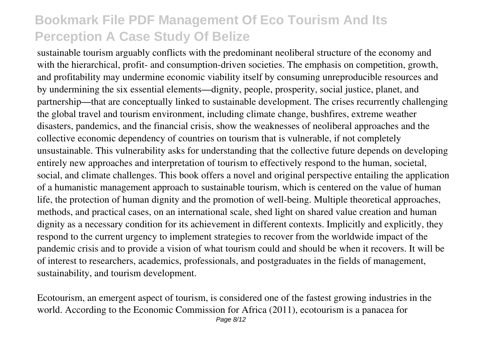sustainable tourism arguably conflicts with the predominant neoliberal structure of the economy and with the hierarchical, profit- and consumption-driven societies. The emphasis on competition, growth, and profitability may undermine economic viability itself by consuming unreproducible resources and by undermining the six essential elements—dignity, people, prosperity, social justice, planet, and partnership—that are conceptually linked to sustainable development. The crises recurrently challenging the global travel and tourism environment, including climate change, bushfires, extreme weather disasters, pandemics, and the financial crisis, show the weaknesses of neoliberal approaches and the collective economic dependency of countries on tourism that is vulnerable, if not completely unsustainable. This vulnerability asks for understanding that the collective future depends on developing entirely new approaches and interpretation of tourism to effectively respond to the human, societal, social, and climate challenges. This book offers a novel and original perspective entailing the application of a humanistic management approach to sustainable tourism, which is centered on the value of human life, the protection of human dignity and the promotion of well-being. Multiple theoretical approaches, methods, and practical cases, on an international scale, shed light on shared value creation and human dignity as a necessary condition for its achievement in different contexts. Implicitly and explicitly, they respond to the current urgency to implement strategies to recover from the worldwide impact of the pandemic crisis and to provide a vision of what tourism could and should be when it recovers. It will be of interest to researchers, academics, professionals, and postgraduates in the fields of management, sustainability, and tourism development.

Ecotourism, an emergent aspect of tourism, is considered one of the fastest growing industries in the world. According to the Economic Commission for Africa (2011), ecotourism is a panacea for Page 8/12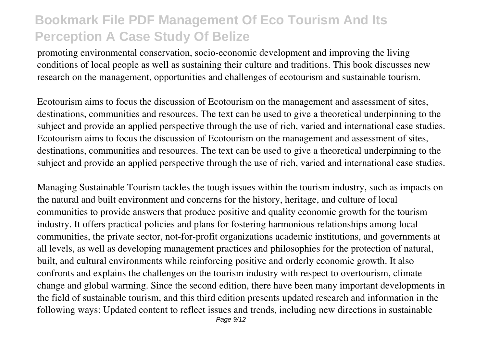promoting environmental conservation, socio-economic development and improving the living conditions of local people as well as sustaining their culture and traditions. This book discusses new research on the management, opportunities and challenges of ecotourism and sustainable tourism.

Ecotourism aims to focus the discussion of Ecotourism on the management and assessment of sites, destinations, communities and resources. The text can be used to give a theoretical underpinning to the subject and provide an applied perspective through the use of rich, varied and international case studies. Ecotourism aims to focus the discussion of Ecotourism on the management and assessment of sites, destinations, communities and resources. The text can be used to give a theoretical underpinning to the subject and provide an applied perspective through the use of rich, varied and international case studies.

Managing Sustainable Tourism tackles the tough issues within the tourism industry, such as impacts on the natural and built environment and concerns for the history, heritage, and culture of local communities to provide answers that produce positive and quality economic growth for the tourism industry. It offers practical policies and plans for fostering harmonious relationships among local communities, the private sector, not-for-profit organizations academic institutions, and governments at all levels, as well as developing management practices and philosophies for the protection of natural, built, and cultural environments while reinforcing positive and orderly economic growth. It also confronts and explains the challenges on the tourism industry with respect to overtourism, climate change and global warming. Since the second edition, there have been many important developments in the field of sustainable tourism, and this third edition presents updated research and information in the following ways: Updated content to reflect issues and trends, including new directions in sustainable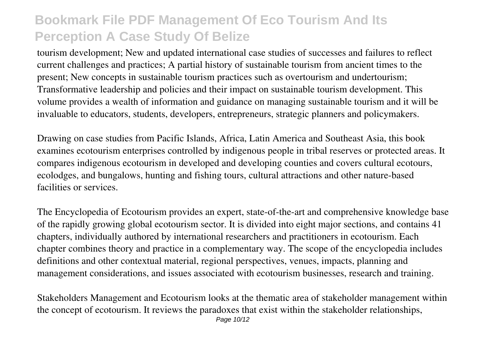tourism development; New and updated international case studies of successes and failures to reflect current challenges and practices; A partial history of sustainable tourism from ancient times to the present; New concepts in sustainable tourism practices such as overtourism and undertourism; Transformative leadership and policies and their impact on sustainable tourism development. This volume provides a wealth of information and guidance on managing sustainable tourism and it will be invaluable to educators, students, developers, entrepreneurs, strategic planners and policymakers.

Drawing on case studies from Pacific Islands, Africa, Latin America and Southeast Asia, this book examines ecotourism enterprises controlled by indigenous people in tribal reserves or protected areas. It compares indigenous ecotourism in developed and developing counties and covers cultural ecotours, ecolodges, and bungalows, hunting and fishing tours, cultural attractions and other nature-based facilities or services.

The Encyclopedia of Ecotourism provides an expert, state-of-the-art and comprehensive knowledge base of the rapidly growing global ecotourism sector. It is divided into eight major sections, and contains 41 chapters, individually authored by international researchers and practitioners in ecotourism. Each chapter combines theory and practice in a complementary way. The scope of the encyclopedia includes definitions and other contextual material, regional perspectives, venues, impacts, planning and management considerations, and issues associated with ecotourism businesses, research and training.

Stakeholders Management and Ecotourism looks at the thematic area of stakeholder management within the concept of ecotourism. It reviews the paradoxes that exist within the stakeholder relationships, Page 10/12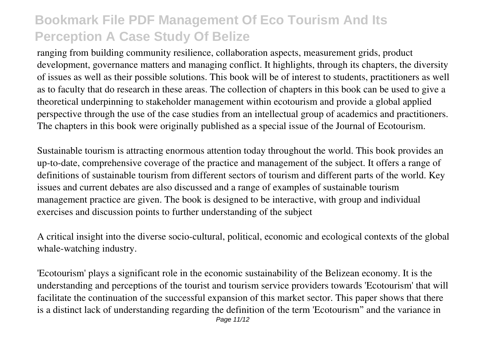ranging from building community resilience, collaboration aspects, measurement grids, product development, governance matters and managing conflict. It highlights, through its chapters, the diversity of issues as well as their possible solutions. This book will be of interest to students, practitioners as well as to faculty that do research in these areas. The collection of chapters in this book can be used to give a theoretical underpinning to stakeholder management within ecotourism and provide a global applied perspective through the use of the case studies from an intellectual group of academics and practitioners. The chapters in this book were originally published as a special issue of the Journal of Ecotourism.

Sustainable tourism is attracting enormous attention today throughout the world. This book provides an up-to-date, comprehensive coverage of the practice and management of the subject. It offers a range of definitions of sustainable tourism from different sectors of tourism and different parts of the world. Key issues and current debates are also discussed and a range of examples of sustainable tourism management practice are given. The book is designed to be interactive, with group and individual exercises and discussion points to further understanding of the subject

A critical insight into the diverse socio-cultural, political, economic and ecological contexts of the global whale-watching industry.

'Ecotourism' plays a significant role in the economic sustainability of the Belizean economy. It is the understanding and perceptions of the tourist and tourism service providers towards 'Ecotourism' that will facilitate the continuation of the successful expansion of this market sector. This paper shows that there is a distinct lack of understanding regarding the definition of the term 'Ecotourism" and the variance in